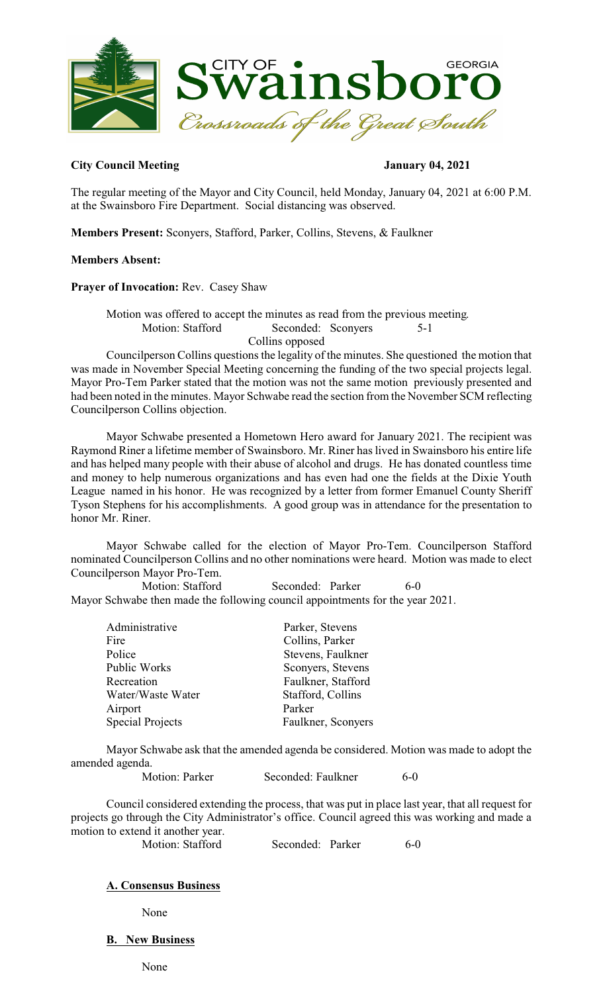

# **City Council Meeting January 04, 2021**

The regular meeting of the Mayor and City Council, held Monday, January 04, 2021 at 6:00 P.M. at the Swainsboro Fire Department. Social distancing was observed.

**Members Present:** Sconyers, Stafford, Parker, Collins, Stevens, & Faulkner

# **Members Absent:**

## **Prayer of Invocation:** Rev. Casey Shaw

Motion was offered to accept the minutes as read from the previous meeting. Motion: Stafford Seconded: Sconyers Collins opposed

Councilperson Collins questions the legality of the minutes. She questioned the motion that was made in November Special Meeting concerning the funding of the two special projects legal. Mayor Pro-Tem Parker stated that the motion was not the same motion previously presented and had been noted in the minutes. Mayor Schwabe read the section from the November SCM reflecting Councilperson Collins objection.

Mayor Schwabe presented a Hometown Hero award for January 2021. The recipient was Raymond Riner a lifetime member of Swainsboro. Mr. Riner has lived in Swainsboro his entire life and has helped many people with their abuse of alcohol and drugs. He has donated countless time and money to help numerous organizations and has even had one the fields at the Dixie Youth League named in his honor. He was recognized by a letter from former Emanuel County Sheriff Tyson Stephens for his accomplishments. A good group was in attendance for the presentation to honor Mr. Riner.

Mayor Schwabe called for the election of Mayor Pro-Tem. Councilperson Stafford nominated Councilperson Collins and no other nominations were heard. Motion was made to elect Councilperson Mayor Pro-Tem.

Motion: Stafford Seconded: Parker 6-0 Mayor Schwabe then made the following council appointments for the year 2021.

| Parker, Stevens    |
|--------------------|
| Collins, Parker    |
| Stevens, Faulkner  |
| Sconyers, Stevens  |
| Faulkner, Stafford |
| Stafford, Collins  |
| Parker             |
| Faulkner, Sconyers |
|                    |

Mayor Schwabe ask that the amended agenda be considered. Motion was made to adopt the amended agenda.

Motion: Parker Seconded: Faulkner 6-0

Council considered extending the process, that was put in place last year, that all request for projects go through the City Administrator's office. Council agreed this was working and made a motion to extend it another year.

Motion: Stafford Seconded: Parker 6-0

# **A. Consensus Business**

None

# **B. New Business**

None